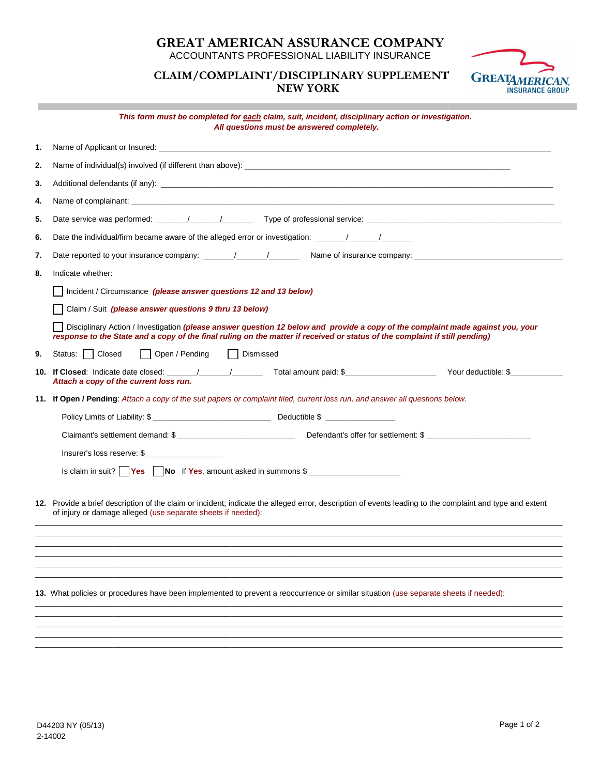## **GREAT AMERICAN ASSURANCE COMPANY GREAT AMERICAN ASSURANCE**

ACCOUNTANTS PROFESSIONAL ACCOUNTANTS PROFESSIONAL LIABILITY INSURANCE

## **PLAINT/DISCIPLINA C SUPPLEMEN CLAIM/COMPLAINT/DISCIPLINARY SUPPLEMENT NEW YORK**



## **This form must be completed for This form must be completed for each claim, suit, incident, disciplinary action or investigation or investigation. All questions must be answered completely. All questions must be answered**

| 2.<br>3.<br>4. |                                                                                                                                                                                                                                                                |
|----------------|----------------------------------------------------------------------------------------------------------------------------------------------------------------------------------------------------------------------------------------------------------------|
|                |                                                                                                                                                                                                                                                                |
|                |                                                                                                                                                                                                                                                                |
|                |                                                                                                                                                                                                                                                                |
| 5.             |                                                                                                                                                                                                                                                                |
| 6.             | Date the individual/firm became aware of the alleged error or investigation: ______/______/________                                                                                                                                                            |
| 7.             | Name of insurance company:                                                                                                                                                                                                                                     |
| 8.             | Indicate whether:                                                                                                                                                                                                                                              |
|                | Incident / Circumstance (please answer questions 12 and 13 below)                                                                                                                                                                                              |
|                | Claim / Suit (please answer questions 9 thru 13 below)                                                                                                                                                                                                         |
|                | Disciplinary Action / Investigation (please answer question 12 below and provide a copy of the complaint made against you, your<br>response to the State and a copy of the final ruling on the matter if received or status of the complaint if still pending) |
| 9.             | Status: Closed<br>Open / Pending<br>Dismissed                                                                                                                                                                                                                  |
|                | Your deductible: \$<br>Attach a copy of the current loss run.                                                                                                                                                                                                  |
|                | 11. If Open / Pending: Attach a copy of the suit papers or complaint filed, current loss run, and answer all questions below.                                                                                                                                  |
|                |                                                                                                                                                                                                                                                                |
|                | Claimant's settlement demand: \$                                                                                                                                                                                                                               |
|                | Insurer's loss reserve: \$                                                                                                                                                                                                                                     |
|                | Is claim in suit? $\Box$ Yes $\Box$ No If Yes, amount asked in summons $\sin \frac{2\pi}{\pi}$                                                                                                                                                                 |
|                |                                                                                                                                                                                                                                                                |
|                | 12. Provide a brief description of the claim or incident; indicate the alleged error, description of events leading to the complaint and type and extent                                                                                                       |
|                | of injury or damage alleged (use separate sheets if needed):                                                                                                                                                                                                   |
|                |                                                                                                                                                                                                                                                                |
|                |                                                                                                                                                                                                                                                                |
|                |                                                                                                                                                                                                                                                                |
|                | 13. What policies or procedures have been implemented to prevent a reoccurrence or similar situation (use separate sheets if needed):                                                                                                                          |
|                |                                                                                                                                                                                                                                                                |
|                |                                                                                                                                                                                                                                                                |
|                |                                                                                                                                                                                                                                                                |